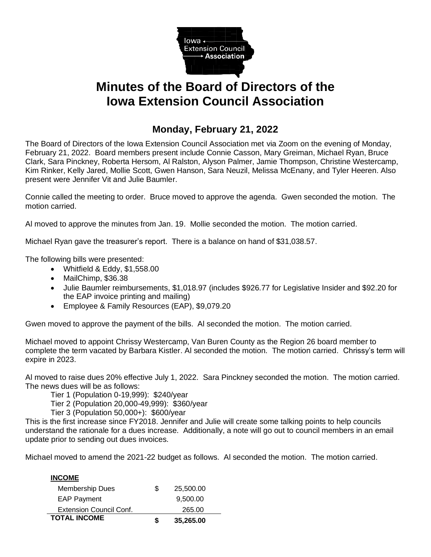

## **Minutes of the Board of Directors of the Iowa Extension Council Association**

## **Monday, February 21, 2022**

The Board of Directors of the Iowa Extension Council Association met via Zoom on the evening of Monday, February 21, 2022. Board members present include Connie Casson, Mary Greiman, Michael Ryan, Bruce Clark, Sara Pinckney, Roberta Hersom, Al Ralston, Alyson Palmer, Jamie Thompson, Christine Westercamp, Kim Rinker, Kelly Jared, Mollie Scott, Gwen Hanson, Sara Neuzil, Melissa McEnany, and Tyler Heeren. Also present were Jennifer Vit and Julie Baumler.

Connie called the meeting to order. Bruce moved to approve the agenda. Gwen seconded the motion. The motion carried.

Al moved to approve the minutes from Jan. 19. Mollie seconded the motion. The motion carried.

Michael Ryan gave the treasurer's report. There is a balance on hand of \$31,038.57.

The following bills were presented:

- Whitfield & Eddy, \$1,558.00
- MailChimp, \$36.38
- Julie Baumler reimbursements, \$1,018.97 (includes \$926.77 for Legislative Insider and \$92.20 for the EAP invoice printing and mailing)
- Employee & Family Resources (EAP), \$9,079.20

Gwen moved to approve the payment of the bills. Al seconded the motion. The motion carried.

Michael moved to appoint Chrissy Westercamp, Van Buren County as the Region 26 board member to complete the term vacated by Barbara Kistler. Al seconded the motion. The motion carried. Chrissy's term will expire in 2023.

Al moved to raise dues 20% effective July 1, 2022. Sara Pinckney seconded the motion. The motion carried. The news dues will be as follows:

Tier 1 (Population 0-19,999): \$240/year

Tier 2 (Population 20,000-49,999): \$360/year

Tier 3 (Population 50,000+): \$600/year

This is the first increase since FY2018. Jennifer and Julie will create some talking points to help councils understand the rationale for a dues increase. Additionally, a note will go out to council members in an email update prior to sending out dues invoices.

Michael moved to amend the 2021-22 budget as follows. Al seconded the motion. The motion carried.

| <b>TOTAL INCOME</b>            | S | 35,265.00 |  |
|--------------------------------|---|-----------|--|
| <b>Extension Council Conf.</b> |   | 265.00    |  |
| <b>EAP Payment</b>             |   | 9,500.00  |  |
| <b>Membership Dues</b>         | S | 25,500.00 |  |
| <b>INCOME</b>                  |   |           |  |